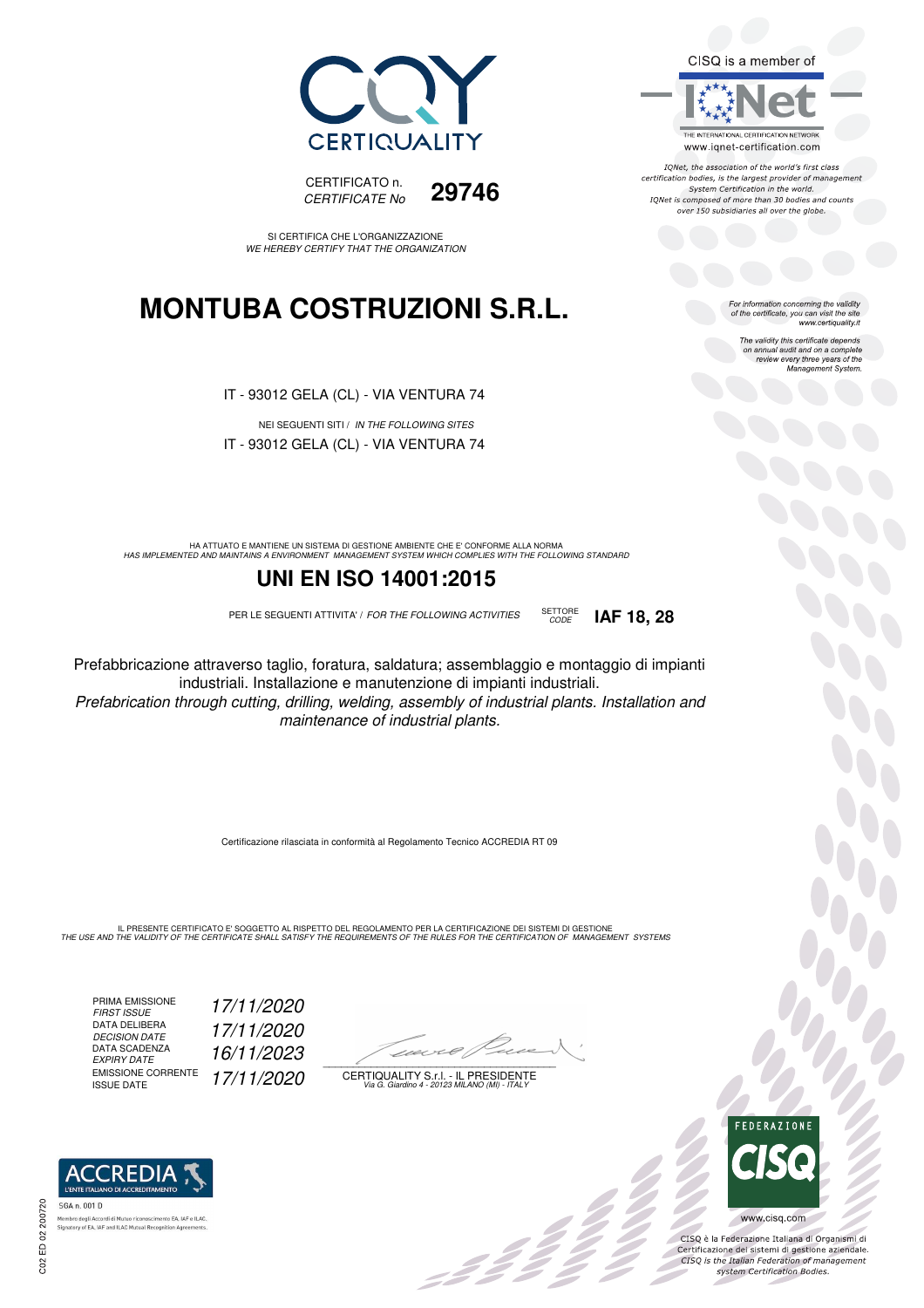



IONet, the association of the world's first class certification bodies, is the largest provider of management System Certification in the world. IQNet is composed of more than 30 bodies and counts over 150 subsidiaries all over the globe.

CODE **IAF 18, 28**

For information concerning the validity<br>of the certificate, you can visit the site<br>www.certiquality.it

The validity this certificate depends on annual audit and on a complete review every three years of the Management System.





SI CERTIFICA CHE L'ORGANIZZAZIONE WE HEREBY CERTIFY THAT THE ORGANIZATION

## **MONTUBA COSTRUZIONI S.R.L.**

IT - 93012 GELA (CL) - VIA VENTURA 74

NEI SEGUENTI SITI / IN THE FOLLOWING SITES IT - 93012 GELA (CL) - VIA VENTURA 74

HA ATTUATO E MANTIENE UN SISTEMA DI GESTIONE AMBIENTE CHE E' CONFORME ALLA NORMA<br>HAS IMPLEMENTED AND MAINTAINS A ENVIRONMENT MANAGEMENT SYSTEM WHICH COMPLIES WITH THE FOLLOWING STANDARD

### **UNI EN ISO 14001:2015**

PER LE SEGUENTI ATTIVITA' / FOR THE FOLLOWING ACTIVITIES SETTORE

Prefabbricazione attraverso taglio, foratura, saldatura; assemblaggio e montaggio di impianti industriali. Installazione e manutenzione di impianti industriali.

Prefabrication through cutting, drilling, welding, assembly of industrial plants. Installation and maintenance of industrial plants.

Certificazione rilasciata in conformità al Regolamento Tecnico ACCREDIA RT 09

IL PRESENTE CERTIFICATO E' SOGGETTO AL RISPETTO DEL REGOLAMENTO PER LA CERTIFICAZIONE DEI SISTEMI DI GESTIONE<br>THE USE AND THE VALIDITY OF THE CERTIFICATE SHALL SATISFY THE REQUIREMENTS OF THE RULES FOR THE CERTIFICATION OF

PRIMA EMISSIONE FIRST ISSUE 17/11/2020 DATA DELIBERA DECISION DATE 17/11/2020 DECISION DATE<br>DATA SCADENZA<br>EXPIRY DATE 16/11/2023 EMISSIONE CORRENTE<br>ISSUE DATE 17/11/2020

 $\overline{\phantom{a}}$ 

: 12 °

CERTIQUALITY S.r.l. - IL PRESIDENTE Via G. Giardino 4 - 20123 MILANO (MI) - ITALY



 $\frac{1}{2}$ 

CISQ è la Federazione Italiana di Organismi di Certificazione dei sistemi di gestione aziendale.<br>CISQ is the Italian Federation of management system Certification Bodies.